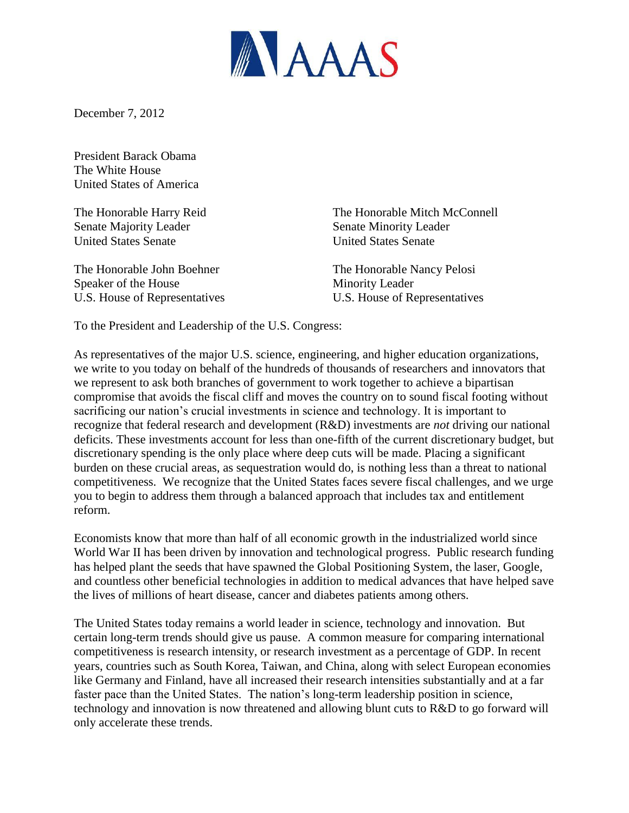

December 7, 2012

President Barack Obama The White House United States of America

Senate Majority Leader Senate Minority Leader United States Senate United States Senate

The Honorable John Boehner The Honorable Nancy Pelosi Speaker of the House Minority Leader

The Honorable Harry Reid The Honorable Mitch McConnell

U.S. House of Representatives U.S. House of Representatives

To the President and Leadership of the U.S. Congress:

As representatives of the major U.S. science, engineering, and higher education organizations, we write to you today on behalf of the hundreds of thousands of researchers and innovators that we represent to ask both branches of government to work together to achieve a bipartisan compromise that avoids the fiscal cliff and moves the country on to sound fiscal footing without sacrificing our nation's crucial investments in science and technology. It is important to recognize that federal research and development (R&D) investments are *not* driving our national deficits. These investments account for less than one-fifth of the current discretionary budget, but discretionary spending is the only place where deep cuts will be made. Placing a significant burden on these crucial areas, as sequestration would do, is nothing less than a threat to national competitiveness. We recognize that the United States faces severe fiscal challenges, and we urge you to begin to address them through a balanced approach that includes tax and entitlement reform.

Economists know that more than half of all economic growth in the industrialized world since World War II has been driven by innovation and technological progress. Public research funding has helped plant the seeds that have spawned the Global Positioning System, the laser, Google, and countless other beneficial technologies in addition to medical advances that have helped save the lives of millions of heart disease, cancer and diabetes patients among others.

The United States today remains a world leader in science, technology and innovation. But certain long-term trends should give us pause. A common measure for comparing international competitiveness is research intensity, or research investment as a percentage of GDP. In recent years, countries such as South Korea, Taiwan, and China, along with select European economies like Germany and Finland, have all increased their research intensities substantially and at a far faster pace than the United States. The nation's long-term leadership position in science, technology and innovation is now threatened and allowing blunt cuts to R&D to go forward will only accelerate these trends.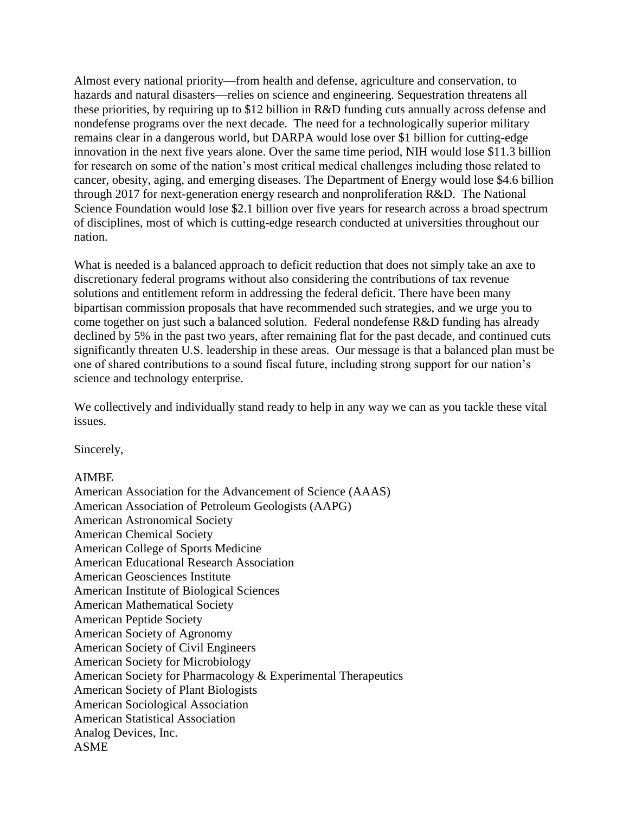Almost every national priority—from health and defense, agriculture and conservation, to hazards and natural disasters—relies on science and engineering. Sequestration threatens all these priorities, by requiring up to \$12 billion in R&D funding cuts annually across defense and nondefense programs over the next decade. The need for a technologically superior military remains clear in a dangerous world, but DARPA would lose over \$1 billion for cutting-edge innovation in the next five years alone. Over the same time period, NIH would lose \$11.3 billion for research on some of the nation's most critical medical challenges including those related to cancer, obesity, aging, and emerging diseases. The Department of Energy would lose \$4.6 billion through 2017 for next-generation energy research and nonproliferation R&D. The National Science Foundation would lose \$2.1 billion over five years for research across a broad spectrum of disciplines, most of which is cutting-edge research conducted at universities throughout our nation.

What is needed is a balanced approach to deficit reduction that does not simply take an axe to discretionary federal programs without also considering the contributions of tax revenue solutions and entitlement reform in addressing the federal deficit. There have been many bipartisan commission proposals that have recommended such strategies, and we urge you to come together on just such a balanced solution. Federal nondefense R&D funding has already declined by 5% in the past two years, after remaining flat for the past decade, and continued cuts significantly threaten U.S. leadership in these areas. Our message is that a balanced plan must be one of shared contributions to a sound fiscal future, including strong support for our nation's science and technology enterprise.

We collectively and individually stand ready to help in any way we can as you tackle these vital issues.

Sincerely,

## AIMBE

American Association for the Advancement of Science (AAAS) American Association of Petroleum Geologists (AAPG) American Astronomical Society American Chemical Society American College of Sports Medicine American Educational Research Association American Geosciences Institute American Institute of Biological Sciences American Mathematical Society American Peptide Society American Society of Agronomy American Society of Civil Engineers American Society for Microbiology American Society for Pharmacology & Experimental Therapeutics American Society of Plant Biologists American Sociological Association American Statistical Association Analog Devices, Inc. ASME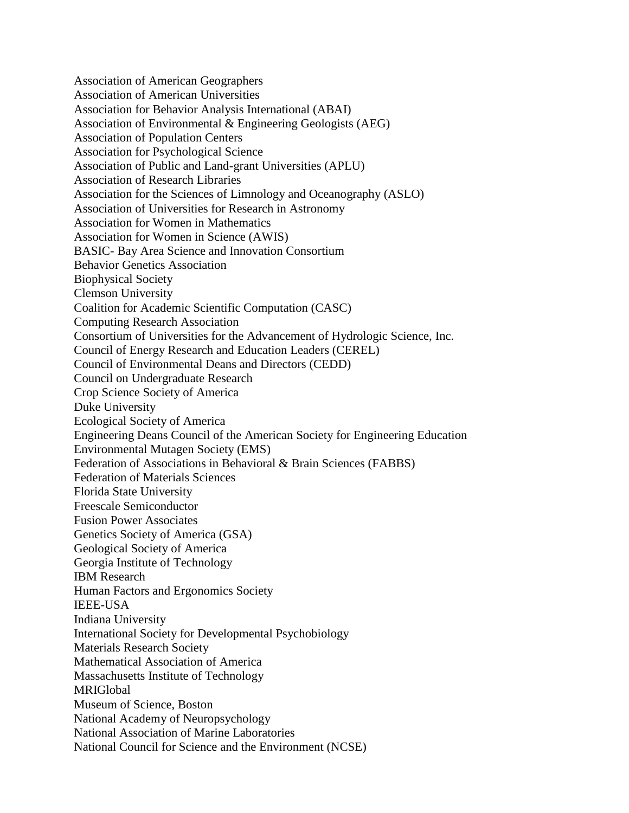Association of American Geographers Association of American Universities Association for Behavior Analysis International (ABAI) Association of Environmental & Engineering Geologists (AEG) Association of Population Centers Association for Psychological Science Association of Public and Land-grant Universities (APLU) Association of Research Libraries Association for the Sciences of Limnology and Oceanography (ASLO) Association of Universities for Research in Astronomy Association for Women in Mathematics Association for Women in Science (AWIS) BASIC- Bay Area Science and Innovation Consortium Behavior Genetics Association Biophysical Society Clemson University Coalition for Academic Scientific Computation (CASC) Computing Research Association Consortium of Universities for the Advancement of Hydrologic Science, Inc. Council of Energy Research and Education Leaders (CEREL) Council of Environmental Deans and Directors (CEDD) Council on Undergraduate Research Crop Science Society of America Duke University Ecological Society of America Engineering Deans Council of the American Society for Engineering Education Environmental Mutagen Society (EMS) Federation of Associations in Behavioral & Brain Sciences (FABBS) Federation of Materials Sciences Florida State University Freescale Semiconductor Fusion Power Associates Genetics Society of America (GSA) Geological Society of America Georgia Institute of Technology IBM Research Human Factors and Ergonomics Society IEEE-USA Indiana University International Society for Developmental Psychobiology Materials Research Society Mathematical Association of America Massachusetts Institute of Technology MRIGlobal Museum of Science, Boston National Academy of Neuropsychology National Association of Marine Laboratories National Council for Science and the Environment (NCSE)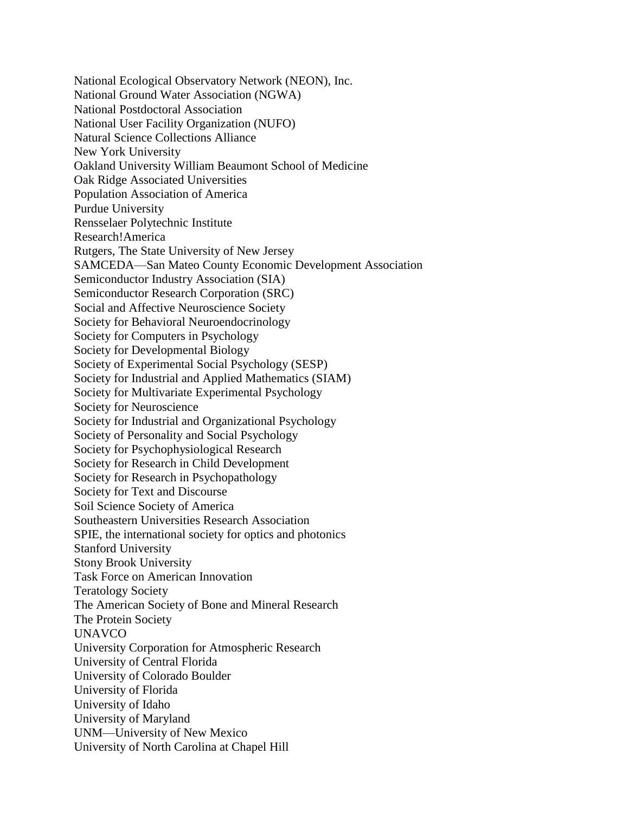National Ecological Observatory Network (NEON), Inc. National Ground Water Association (NGWA) National Postdoctoral Association National User Facility Organization (NUFO) Natural Science Collections Alliance New York University Oakland University William Beaumont School of Medicine Oak Ridge Associated Universities Population Association of America Purdue University Rensselaer Polytechnic Institute Research!America Rutgers, The State University of New Jersey SAMCEDA—San Mateo County Economic Development Association Semiconductor Industry Association (SIA) Semiconductor Research Corporation (SRC) Social and Affective Neuroscience Society Society for Behavioral Neuroendocrinology Society for Computers in Psychology Society for Developmental Biology Society of Experimental Social Psychology (SESP) Society for Industrial and Applied Mathematics (SIAM) Society for Multivariate Experimental Psychology Society for Neuroscience Society for Industrial and Organizational Psychology Society of Personality and Social Psychology Society for Psychophysiological Research Society for Research in Child Development Society for Research in Psychopathology Society for Text and Discourse Soil Science Society of America Southeastern Universities Research Association SPIE, the international society for optics and photonics Stanford University Stony Brook University Task Force on American Innovation Teratology Society The American Society of Bone and Mineral Research The Protein Society UNAVCO University Corporation for Atmospheric Research University of Central Florida University of Colorado Boulder University of Florida University of Idaho University of Maryland UNM—University of New Mexico University of North Carolina at Chapel Hill